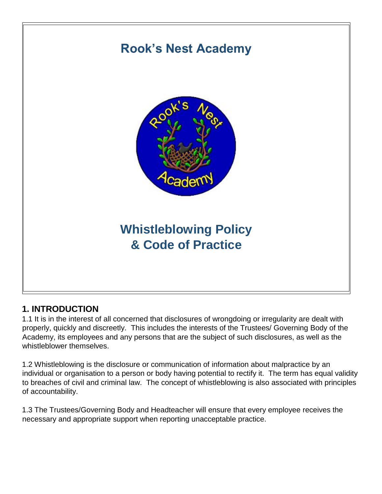

## **1. INTRODUCTION**

1.1 It is in the interest of all concerned that disclosures of wrongdoing or irregularity are dealt with properly, quickly and discreetly. This includes the interests of the Trustees/ Governing Body of the Academy, its employees and any persons that are the subject of such disclosures, as well as the whistleblower themselves.

1.2 Whistleblowing is the disclosure or communication of information about malpractice by an individual or organisation to a person or body having potential to rectify it. The term has equal validity to breaches of civil and criminal law. The concept of whistleblowing is also associated with principles of accountability.

1.3 The Trustees/Governing Body and Headteacher will ensure that every employee receives the necessary and appropriate support when reporting unacceptable practice.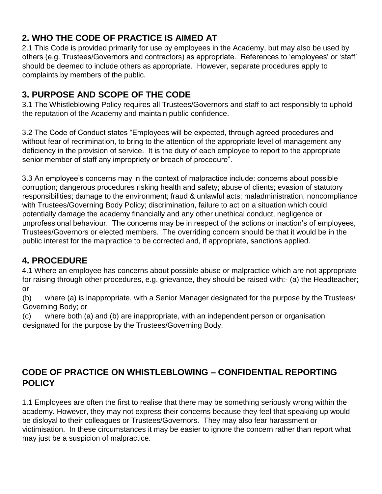# **2. WHO THE CODE OF PRACTICE IS AIMED AT**

2.1 This Code is provided primarily for use by employees in the Academy, but may also be used by others (e.g. Trustees/Governors and contractors) as appropriate. References to 'employees' or 'staff' should be deemed to include others as appropriate. However, separate procedures apply to complaints by members of the public.

# **3. PURPOSE AND SCOPE OF THE CODE**

3.1 The Whistleblowing Policy requires all Trustees/Governors and staff to act responsibly to uphold the reputation of the Academy and maintain public confidence.

3.2 The Code of Conduct states "Employees will be expected, through agreed procedures and without fear of recrimination, to bring to the attention of the appropriate level of management any deficiency in the provision of service. It is the duty of each employee to report to the appropriate senior member of staff any impropriety or breach of procedure".

3.3 An employee's concerns may in the context of malpractice include: concerns about possible corruption; dangerous procedures risking health and safety; abuse of clients; evasion of statutory responsibilities; damage to the environment; fraud & unlawful acts; maladministration, noncompliance with Trustees/Governing Body Policy; discrimination, failure to act on a situation which could potentially damage the academy financially and any other unethical conduct, negligence or unprofessional behaviour. The concerns may be in respect of the actions or inaction's of employees, Trustees/Governors or elected members. The overriding concern should be that it would be in the public interest for the malpractice to be corrected and, if appropriate, sanctions applied.

# **4. PROCEDURE**

4.1 Where an employee has concerns about possible abuse or malpractice which are not appropriate for raising through other procedures, e.g. grievance, they should be raised with:- (a) the Headteacher; or

(b) where (a) is inappropriate, with a Senior Manager designated for the purpose by the Trustees/ Governing Body; or

(c) where both (a) and (b) are inappropriate, with an independent person or organisation designated for the purpose by the Trustees/Governing Body.

### **CODE OF PRACTICE ON WHISTLEBLOWING – CONFIDENTIAL REPORTING POLICY**

1.1 Employees are often the first to realise that there may be something seriously wrong within the academy. However, they may not express their concerns because they feel that speaking up would be disloyal to their colleagues or Trustees/Governors. They may also fear harassment or victimisation. In these circumstances it may be easier to ignore the concern rather than report what may just be a suspicion of malpractice.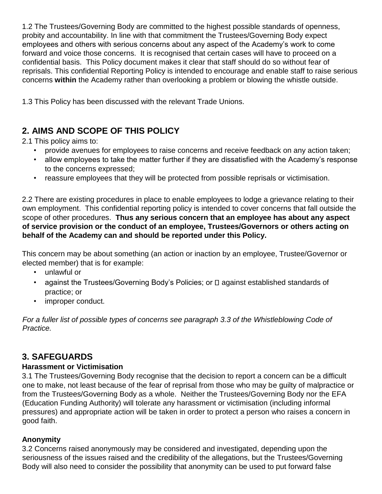1.2 The Trustees/Governing Body are committed to the highest possible standards of openness, probity and accountability. In line with that commitment the Trustees/Governing Body expect employees and others with serious concerns about any aspect of the Academy's work to come forward and voice those concerns. It is recognised that certain cases will have to proceed on a confidential basis. This Policy document makes it clear that staff should do so without fear of reprisals. This confidential Reporting Policy is intended to encourage and enable staff to raise serious concerns **within** the Academy rather than overlooking a problem or blowing the whistle outside.

1.3 This Policy has been discussed with the relevant Trade Unions.

## **2. AIMS AND SCOPE OF THIS POLICY**

2.1 This policy aims to:

- provide avenues for employees to raise concerns and receive feedback on any action taken;
- allow employees to take the matter further if they are dissatisfied with the Academy's response to the concerns expressed;
- reassure employees that they will be protected from possible reprisals or victimisation.

2.2 There are existing procedures in place to enable employees to lodge a grievance relating to their own employment. This confidential reporting policy is intended to cover concerns that fall outside the scope of other procedures. **Thus any serious concern that an employee has about any aspect of service provision or the conduct of an employee, Trustees/Governors or others acting on behalf of the Academy can and should be reported under this Policy.** 

This concern may be about something (an action or inaction by an employee, Trustee/Governor or elected member) that is for example:

- unlawful or
- against the Trustees/Governing Body's Policies; or  $\Box$  against established standards of practice; or
- improper conduct.

*For a fuller list of possible types of concerns see paragraph 3.3 of the Whistleblowing Code of Practice.* 

### **3. SAFEGUARDS**

#### **Harassment or Victimisation**

3.1 The Trustees/Governing Body recognise that the decision to report a concern can be a difficult one to make, not least because of the fear of reprisal from those who may be guilty of malpractice or from the Trustees/Governing Body as a whole. Neither the Trustees/Governing Body nor the EFA (Education Funding Authority) will tolerate any harassment or victimisation (including informal pressures) and appropriate action will be taken in order to protect a person who raises a concern in good faith.

#### **Anonymity**

3.2 Concerns raised anonymously may be considered and investigated, depending upon the seriousness of the issues raised and the credibility of the allegations, but the Trustees/Governing Body will also need to consider the possibility that anonymity can be used to put forward false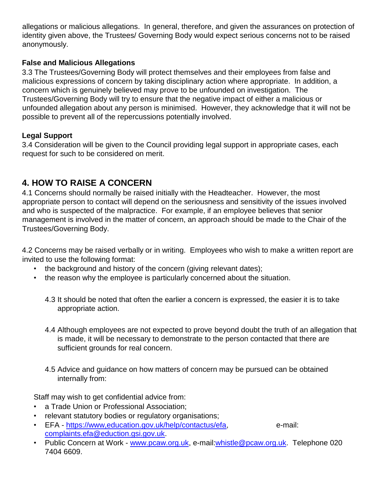allegations or malicious allegations. In general, therefore, and given the assurances on protection of identity given above, the Trustees/ Governing Body would expect serious concerns not to be raised anonymously.

#### **False and Malicious Allegations**

3.3 The Trustees/Governing Body will protect themselves and their employees from false and malicious expressions of concern by taking disciplinary action where appropriate. In addition, a concern which is genuinely believed may prove to be unfounded on investigation. The Trustees/Governing Body will try to ensure that the negative impact of either a malicious or unfounded allegation about any person is minimised. However, they acknowledge that it will not be possible to prevent all of the repercussions potentially involved.

#### **Legal Support**

3.4 Consideration will be given to the Council providing legal support in appropriate cases, each request for such to be considered on merit.

### **4. HOW TO RAISE A CONCERN**

4.1 Concerns should normally be raised initially with the Headteacher. However, the most appropriate person to contact will depend on the seriousness and sensitivity of the issues involved and who is suspected of the malpractice. For example, if an employee believes that senior management is involved in the matter of concern, an approach should be made to the Chair of the Trustees/Governing Body.

4.2 Concerns may be raised verbally or in writing. Employees who wish to make a written report are invited to use the following format:

- the background and history of the concern (giving relevant dates);
- the reason why the employee is particularly concerned about the situation.
	- 4.3 It should be noted that often the earlier a concern is expressed, the easier it is to take appropriate action.
	- 4.4 Although employees are not expected to prove beyond doubt the truth of an allegation that is made, it will be necessary to demonstrate to the person contacted that there are sufficient grounds for real concern.
	- 4.5 Advice and guidance on how matters of concern may be pursued can be obtained internally from:

Staff may wish to get confidential advice from:

- a Trade Union or Professional Association;
- relevant statutory bodies or regulatory organisations;
- EFA [-](https://www,education.gov.uk/help/contactus/efa) https://www.education.gov.uk/help/contactus/efa, e-mail: complaints.efa@eduction.gsi.gov.uk.
- Public Concern at Work [-](http://www.pcaw.org.uk/) [www.pcaw.org.uk,](http://www.pcaw.org.uk/) e-mail:whistle@pcaw.org.uk. Telephone 020 7404 6609.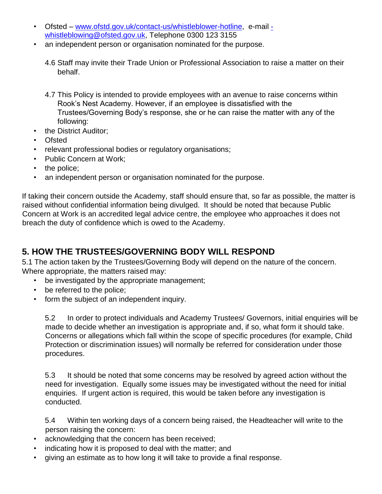- Ofsted [–](http://www.ofstd.gov.uk/contact-us/whistleblower-hotline) [www.ofstd.gov.uk/contact-us/whistleblower-hotline,](http://www.ofstd.gov.uk/contact-us/whistleblower-hotline) e-mail whistleblowing@ofsted.gov.uk, Telephone 0300 123 3155
- an independent person or organisation nominated for the purpose.
	- 4.6 Staff may invite their Trade Union or Professional Association to raise a matter on their behalf.
	- 4.7 This Policy is intended to provide employees with an avenue to raise concerns within Rook's Nest Academy. However, if an employee is dissatisfied with the Trustees/Governing Body's response, she or he can raise the matter with any of the following:
- the District Auditor;
- **Ofsted**
- relevant professional bodies or regulatory organisations;
- Public Concern at Work;
- the police;
- an independent person or organisation nominated for the purpose.

If taking their concern outside the Academy, staff should ensure that, so far as possible, the matter is raised without confidential information being divulged. It should be noted that because Public Concern at Work is an accredited legal advice centre, the employee who approaches it does not breach the duty of confidence which is owed to the Academy.

### **5. HOW THE TRUSTEES/GOVERNING BODY WILL RESPOND**

5.1 The action taken by the Trustees/Governing Body will depend on the nature of the concern. Where appropriate, the matters raised may:

- be investigated by the appropriate management;
- be referred to the police;
- form the subject of an independent inquiry.

5.2 In order to protect individuals and Academy Trustees/ Governors, initial enquiries will be made to decide whether an investigation is appropriate and, if so, what form it should take. Concerns or allegations which fall within the scope of specific procedures (for example, Child Protection or discrimination issues) will normally be referred for consideration under those procedures.

5.3 It should be noted that some concerns may be resolved by agreed action without the need for investigation. Equally some issues may be investigated without the need for initial enquiries. If urgent action is required, this would be taken before any investigation is conducted.

5.4 Within ten working days of a concern being raised, the Headteacher will write to the person raising the concern:

- acknowledging that the concern has been received;
- indicating how it is proposed to deal with the matter; and
- giving an estimate as to how long it will take to provide a final response.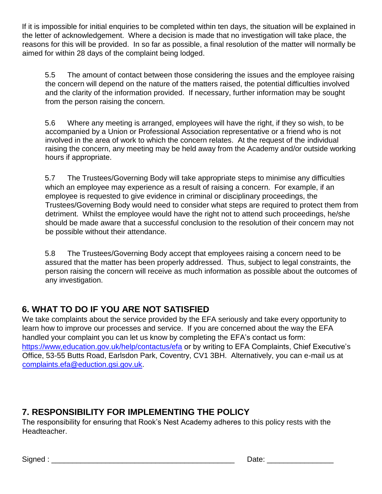If it is impossible for initial enquiries to be completed within ten days, the situation will be explained in the letter of acknowledgement. Where a decision is made that no investigation will take place, the reasons for this will be provided. In so far as possible, a final resolution of the matter will normally be aimed for within 28 days of the complaint being lodged.

5.5 The amount of contact between those considering the issues and the employee raising the concern will depend on the nature of the matters raised, the potential difficulties involved and the clarity of the information provided. If necessary, further information may be sought from the person raising the concern.

5.6 Where any meeting is arranged, employees will have the right, if they so wish, to be accompanied by a Union or Professional Association representative or a friend who is not involved in the area of work to which the concern relates. At the request of the individual raising the concern, any meeting may be held away from the Academy and/or outside working hours if appropriate.

5.7 The Trustees/Governing Body will take appropriate steps to minimise any difficulties which an employee may experience as a result of raising a concern. For example, if an employee is requested to give evidence in criminal or disciplinary proceedings, the Trustees/Governing Body would need to consider what steps are required to protect them from detriment. Whilst the employee would have the right not to attend such proceedings, he/she should be made aware that a successful conclusion to the resolution of their concern may not be possible without their attendance.

5.8 The Trustees/Governing Body accept that employees raising a concern need to be assured that the matter has been properly addressed. Thus, subject to legal constraints, the person raising the concern will receive as much information as possible about the outcomes of any investigation.

## **6. WHAT TO DO IF YOU ARE NOT SATISFIED**

We take complaints about the service provided by the EFA seriously and take every opportunity to learn how to improve our processes and service. If you are concerned about the way the EFA handled your complaint you can let us know by completing the EFA's contact us form: <https://www,education.gov.uk/help/contactus/efa> [o](https://www,education.gov.uk/help/contactus/efa)r by writing to EFA Complaints, Chief Executive's Office, 53-55 Butts Road, Earlsdon Park, Coventry, CV1 3BH. Alternatively, you can e-mail us at complaints.efa@eduction.gsi.gov.uk.

## **7. RESPONSIBILITY FOR IMPLEMENTING THE POLICY**

The responsibility for ensuring that Rook's Nest Academy adheres to this policy rests with the Headteacher.

Signed : \_\_\_\_\_\_\_\_\_\_\_\_\_\_\_\_\_\_\_\_\_\_\_\_\_\_\_\_\_\_\_\_\_\_\_\_\_\_\_\_\_\_\_\_ Date: \_\_\_\_\_\_\_\_\_\_\_\_\_\_\_\_